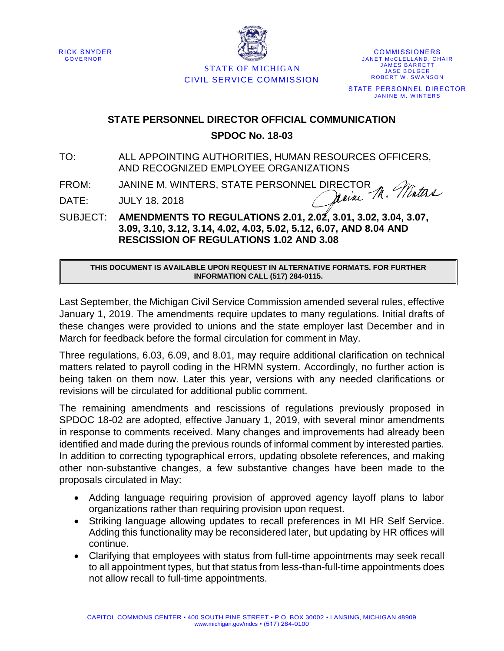



**COMMISSIONERS** JANET MCCLELLAND, CHAIR **JAMES BARRETT JASE BOLGER** ROBERT W. SWANSON STATE PERSONNEL DIRECTOR JANINE M. WINTERS

## STATE OF MICHIGAN CIVIL SERVICE COMMISSION

## **STATE PERSONNEL DIRECTOR OFFICIAL COMMUNICATION SPDOC No. 18-03**

TO: ALL APPOINTING AUTHORITIES, HUMAN RESOURCES OFFICERS, AND RECOGNIZED EMPLOYEE ORGANIZATIONS

FROM: JANINE M. WINTERS, STATE PERSONNEL DIRECTOR<br>DATE: JIJIY 18 2018

DATE: JULY 18, 2018

SUBJECT: **AMENDMENTS TO REGULATIONS 2.01, 2.02, 3.01, 3.02, 3.04, 3.07, 3.09, 3.10, 3.12, 3.14, 4.02, 4.03, 5.02, 5.12, 6.07, AND 8.04 AND RESCISSION OF REGULATIONS 1.02 AND 3.08**

## **THIS DOCUMENT IS AVAILABLE UPON REQUEST IN ALTERNATIVE FORMATS. FOR FURTHER INFORMATION CALL (517) 284-0115.**

Last September, the Michigan Civil Service Commission amended several rules, effective January 1, 2019. The amendments require updates to many regulations. Initial drafts of these changes were provided to unions and the state employer last December and in March for feedback before the formal circulation for comment in May.

Three regulations, 6.03, 6.09, and 8.01, may require additional clarification on technical matters related to payroll coding in the HRMN system. Accordingly, no further action is being taken on them now. Later this year, versions with any needed clarifications or revisions will be circulated for additional public comment.

The remaining amendments and rescissions of regulations previously proposed in SPDOC 18-02 are adopted, effective January 1, 2019, with several minor amendments in response to comments received. Many changes and improvements had already been identified and made during the previous rounds of informal comment by interested parties. In addition to correcting typographical errors, updating obsolete references, and making other non-substantive changes, a few substantive changes have been made to the proposals circulated in May:

- Adding language requiring provision of approved agency layoff plans to labor organizations rather than requiring provision upon request.
- Striking language allowing updates to recall preferences in MI HR Self Service. Adding this functionality may be reconsidered later, but updating by HR offices will continue.
- Clarifying that employees with status from full-time appointments may seek recall to all appointment types, but that status from less-than-full-time appointments does not allow recall to full-time appointments.